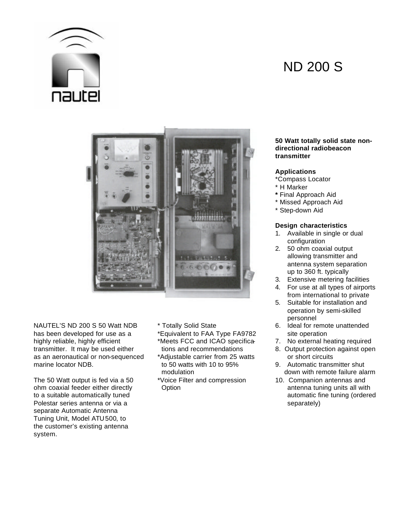

# ND 200 S



NAUTEL'S ND 200 S 50 Watt NDB \* Totally Solid State has been developed for use as a \*Equivalent to FAA Type FA9782 site operation highly reliable, highly efficient \*Meets FCC and ICAO specifica 7. No external heating required transmitter. It may be used either tions and recommendations 8. Output protection against open as an aeronautical or non-sequenced \*Adjustable carrier from 25 watts or short circuits marine locator NDB. to 50 watts with 10 to 95% 9. Automatic transmitter shut

The 50 Watt output is fed via a 50 \* Voice Filter and compression 10. Companion antennas and ohm coaxial feeder either directly **Option** Option **antenna tuning units all with** Polestar series antenna or via a separately) and separately separately separately separate Automatic Antenna Tuning Unit, Model ATU500, to the customer's existing antenna system.

- 
- 

#### **50 Watt totally solid state nondirectional radiobeacon transmitter**

# **Applications**

- \*Compass Locator
- \* H Marker
- **\*** Final Approach Aid
- \* Missed Approach Aid
- \* Step-down Aid

# **Design characteristics**

- 1. Available in single or dual configuration
- 2. 50 ohm coaxial output allowing transmitter and antenna system separation up to 360 ft. typically
- 3. Extensive metering facilities
- 4. For use at all types of airports from international to private
- 5. Suitable for installation and operation by semi-skilled personnel<br>6. Ideal for remote unattended
- 
- 
- 
- modulation modulation contract the modulation modulation contract the modulation modulation of the modulation o
- to a suitable automatically tuned automatic fine tuning (ordered automatic fine tuning (ordered